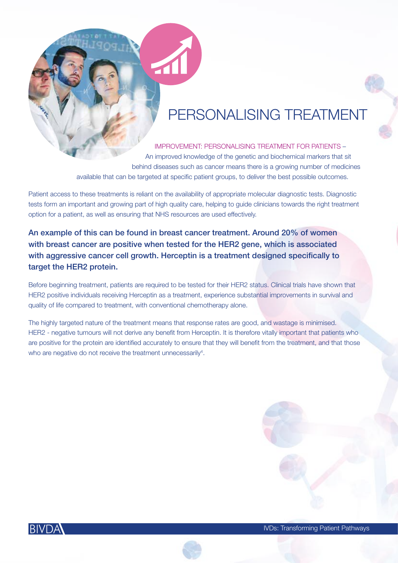### PERSONALISING TREATMENT

IMPROVEMENT: PERSONALISING TREATMENT FOR PATIENTS – An improved knowledge of the genetic and biochemical markers that sit behind diseases such as cancer means there is a growing number of medicines available that can be targeted at specific patient groups, to deliver the best possible outcomes.

Patient access to these treatments is reliant on the availability of appropriate molecular diagnostic tests. Diagnostic tests form an important and growing part of high quality care, helping to guide clinicians towards the right treatment option for a patient, as well as ensuring that NHS resources are used effectively.

An example of this can be found in breast cancer treatment. Around 20% of women with breast cancer are positive when tested for the HER2 gene, which is associated with aggressive cancer cell growth. Herceptin is a treatment designed specifically to target the HER2 protein.

Before beginning treatment, patients are required to be tested for their HER2 status. Clinical trials have shown that HER2 positive individuals receiving Herceptin as a treatment, experience substantial improvements in survival and quality of life compared to treatment, with conventional chemotherapy alone.

The highly targeted nature of the treatment means that response rates are good, and wastage is minimised. HER2 - negative tumours will not derive any benefit from Herceptin. It is therefore vitally important that patients who are positive for the protein are identified accurately to ensure that they will benefit from the treatment, and that those who are negative do not receive the treatment unnecessarily<sup>4</sup>.



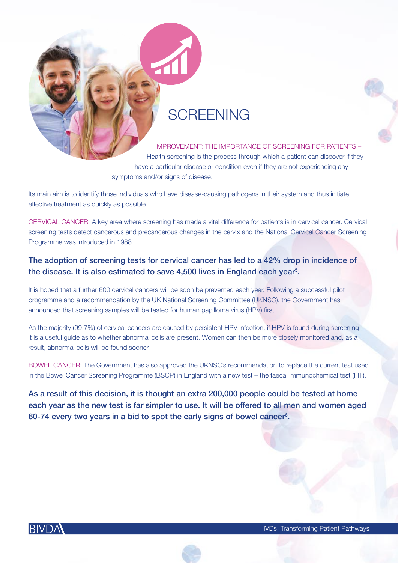### **SCREENING**

IMPROVEMENT: THE IMPORTANCE OF SCREENING FOR PATIENTS – Health screening is the process through which a patient can discover if they have a particular disease or condition even if they are not experiencing any symptoms and/or signs of disease.

Its main aim is to identify those individuals who have disease-causing pathogens in their system and thus initiate effective treatment as quickly as possible.

CERVICAL CANCER: A key area where screening has made a vital difference for patients is in cervical cancer. Cervical screening tests detect cancerous and precancerous changes in the cervix and the National Cervical Cancer Screening Programme was introduced in 1988.

### The adoption of screening tests for cervical cancer has led to a 42% drop in incidence of the disease. It is also estimated to save 4,500 lives in England each year $5$ .

It is hoped that a further 600 cervical cancers will be soon be prevented each year. Following a successful pilot programme and a recommendation by the UK National Screening Committee (UKNSC), the Government has announced that screening samples will be tested for human papilloma virus (HPV) first.

As the majority (99.7%) of cervical cancers are caused by persistent HPV infection, if HPV is found during screening it is a useful guide as to whether abnormal cells are present. Women can then be more closely monitored and, as a result, abnormal cells will be found sooner.

BOWEL CANCER: The Government has also approved the UKNSC's recommendation to replace the current test used in the Bowel Cancer Screening Programme (BSCP) in England with a new test – the faecal immunochemical test (FIT).

As a result of this decision, it is thought an extra 200,000 people could be tested at home each year as the new test is far simpler to use. It will be offered to all men and women aged 60-74 every two years in a bid to spot the early signs of bowel cancer<sup>6</sup>.



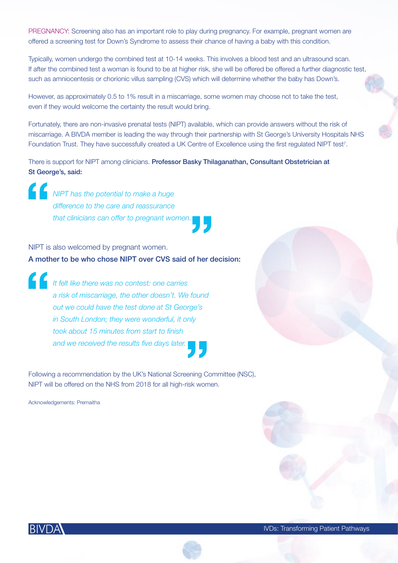PREGNANCY: Screening also has an important role to play during pregnancy. For example, pregnant women are offered a screening test for Down's Syndrome to assess their chance of having a baby with this condition.

Typically, women undergo the combined test at 10-14 weeks. This involves a blood test and an ultrasound scan. If after the combined test a woman is found to be at higher risk, she will be offered be offered a further diagnostic test, such as amniocentesis or chorionic villus sampling (CVS) which will determine whether the baby has Down's.

However, as approximately 0.5 to 1% result in a miscarriage, some women may choose not to take the test, even if they would welcome the certainty the result would bring.

Fortunately, there are non-invasive prenatal tests (NIPT) available, which can provide answers without the risk of miscarriage. A BIVDA member is leading the way through their partnership with St George's University Hospitals NHS Foundation Trust. They have successfully created a UK Centre of Excellence using the first regulated NIPT test<sup>7</sup>.

There is support for NIPT among clinicians. Professor Basky Thilaganathan, Consultant Obstetrician at St George's, said:

*NIPT has the potential to make a huge difference to the care and reassurance that clinicians can offer to pregnant women.* 

NIPT is also welcomed by pregnant women. A mother to be who chose NIPT over CVS said of her decision:

*It felt like there was no contest: one carries a risk of miscarriage, the other doesn't. We found out we could have the test done at St George's in South London; they were wonderful, it only took about 15 minutes from start to finish and we received the results five days later.*

Following a recommendation by the UK's National Screening Committee (NSC), NIPT will be offered on the NHS from 2018 for all high-risk women.

Acknowledgements: Premaitha



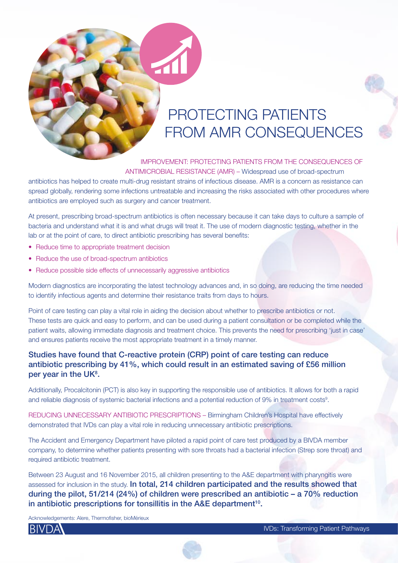# PROTECTING PATIENTS FROM AMR CONSEQUENCES

IMPROVEMENT: PROTECTING PATIENTS FROM THE CONSEQUENCES OF ANTIMICROBIAL RESISTANCE (AMR) – Widespread use of broad-spectrum

antibiotics has helped to create multi-drug resistant strains of infectious disease. AMR is a concern as resistance can spread globally, rendering some infections untreatable and increasing the risks associated with other procedures where antibiotics are employed such as surgery and cancer treatment.

At present, prescribing broad-spectrum antibiotics is often necessary because it can take days to culture a sample of bacteria and understand what it is and what drugs will treat it. The use of modern diagnostic testing, whether in the lab or at the point of care, to direct antibiotic prescribing has several benefits:

- Reduce time to appropriate treatment decision
- Reduce the use of broad-spectrum antibiotics
- Reduce possible side effects of unnecessarily aggressive antibiotics

Modern diagnostics are incorporating the latest technology advances and, in so doing, are reducing the time needed to identify infectious agents and determine their resistance traits from days to hours.

Point of care testing can play a vital role in aiding the decision about whether to prescribe antibiotics or not. These tests are quick and easy to perform, and can be used during a patient consultation or be completed while the patient waits, allowing immediate diagnosis and treatment choice. This prevents the need for prescribing 'just in case' and ensures patients receive the most appropriate treatment in a timely manner.

### Studies have found that C-reactive protein (CRP) point of care testing can reduce antibiotic prescribing by 41%, which could result in an estimated saving of £56 million per year in the UK<sup>8</sup>.

Additionally, Procalcitonin (PCT) is also key in supporting the responsible use of antibiotics. It allows for both a rapid and reliable diagnosis of systemic bacterial infections and a potential reduction of 9% in treatment costs<sup>9</sup>.

REDUCING UNNECESSARY ANTIBIOTIC PRESCRIPTIONS – Birmingham Children's Hospital have effectively demonstrated that IVDs can play a vital role in reducing unnecessary antibiotic prescriptions.

The Accident and Emergency Department have piloted a rapid point of care test produced by a BIVDA member company, to determine whether patients presenting with sore throats had a bacterial infection (Strep sore throat) and required antibiotic treatment.

Between 23 August and 16 November 2015, all children presenting to the A&E department with pharyngitis were assessed for inclusion in the study. In total, 214 children participated and the results showed that during the pilot, 51/214 (24%) of children were prescribed an antibiotic – a 70% reduction in antibiotic prescriptions for tonsillitis in the A&E department<sup>10</sup>.

Acknowledgements: Alere, Thermofisher, bioMérieux



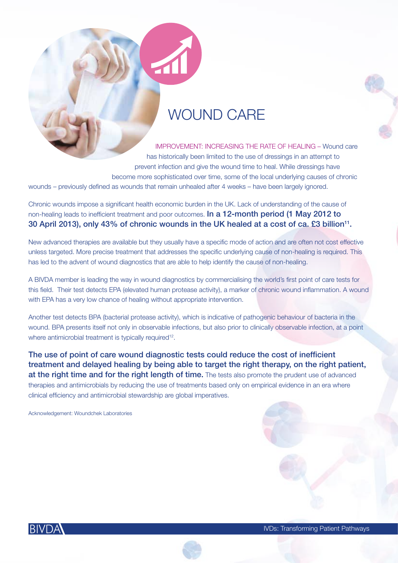### WOUND CARE

IMPROVEMENT: INCREASING THE RATE OF HEALING – Wound care has historically been limited to the use of dressings in an attempt to prevent infection and give the wound time to heal. While dressings have become more sophisticated over time, some of the local underlying causes of chronic wounds – previously defined as wounds that remain unhealed after 4 weeks – have been largely ignored.

Chronic wounds impose a significant health economic burden in the UK. Lack of understanding of the cause of non-healing leads to inefficient treatment and poor outcomes. **In a 12-month period (1 May 2012 to** 30 April 2013), only 43% of chronic wounds in the UK healed at a cost of ca. £3 billion<sup>11</sup>.

New advanced therapies are available but they usually have a specific mode of action and are often not cost effective unless targeted. More precise treatment that addresses the specific underlying cause of non-healing is required. This has led to the advent of wound diagnostics that are able to help identify the cause of non-healing.

A BIVDA member is leading the way in wound diagnostics by commercialising the world's first point of care tests for this field. Their test detects EPA (elevated human protease activity), a marker of chronic wound inflammation. A wound with EPA has a very low chance of healing without appropriate intervention.

Another test detects BPA (bacterial protease activity), which is indicative of pathogenic behaviour of bacteria in the wound. BPA presents itself not only in observable infections, but also prior to clinically observable infection, at a point where antimicrobial treatment is typically required<sup>12</sup>.

The use of point of care wound diagnostic tests could reduce the cost of inefficient treatment and delayed healing by being able to target the right therapy, on the right patient, at the right time and for the right length of time. The tests also promote the prudent use of advanced therapies and antimicrobials by reducing the use of treatments based only on empirical evidence in an era where clinical efficiency and antimicrobial stewardship are global imperatives.

Acknowledgement: Woundchek Laboratories



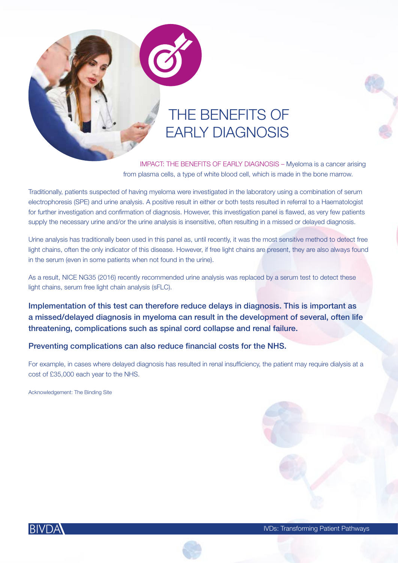# THE BENEFITS OF EARLY DIAGNOSIS

IMPACT: THE BENEFITS OF EARLY DIAGNOSIS – Myeloma is a cancer arising from plasma cells, a type of white blood cell, which is made in the bone marrow.

Traditionally, patients suspected of having myeloma were investigated in the laboratory using a combination of serum electrophoresis (SPE) and urine analysis. A positive result in either or both tests resulted in referral to a Haematologist for further investigation and confirmation of diagnosis. However, this investigation panel is flawed, as very few patients supply the necessary urine and/or the urine analysis is insensitive, often resulting in a missed or delayed diagnosis.

Urine analysis has traditionally been used in this panel as, until recently, it was the most sensitive method to detect free light chains, often the only indicator of this disease. However, if free light chains are present, they are also always found in the serum (even in some patients when not found in the urine).

As a result, NICE NG35 (2016) recently recommended urine analysis was replaced by a serum test to detect these light chains, serum free light chain analysis (sFLC).

Implementation of this test can therefore reduce delays in diagnosis. This is important as a missed/delayed diagnosis in myeloma can result in the development of several, often life threatening, complications such as spinal cord collapse and renal failure.

### Preventing complications can also reduce financial costs for the NHS.

For example, in cases where delayed diagnosis has resulted in renal insufficiency, the patient may require dialysis at a cost of £35,000 each year to the NHS.

Acknowledgement: The Binding Site





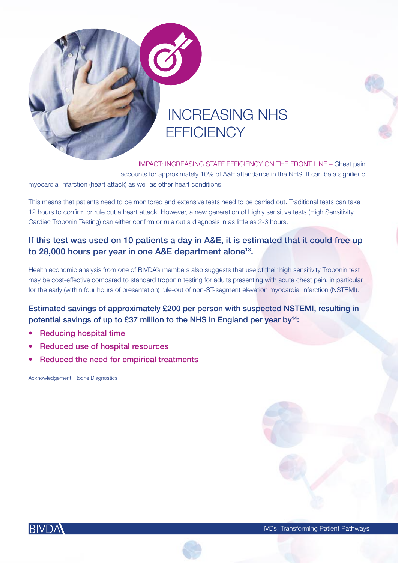

# INCREASING NHS **EFFICIENCY**

IMPACT: INCREASING STAFF EFFICIENCY ON THE FRONT LINE – Chest pain accounts for approximately 10% of A&E attendance in the NHS. It can be a signifier of myocardial infarction (heart attack) as well as other heart conditions.

This means that patients need to be monitored and extensive tests need to be carried out. Traditional tests can take 12 hours to confirm or rule out a heart attack. However, a new generation of highly sensitive tests (High Sensitivity Cardiac Troponin Testing) can either confirm or rule out a diagnosis in as little as 2-3 hours.

### If this test was used on 10 patients a day in A&E, it is estimated that it could free up to 28,000 hours per year in one A&E department alone<sup>13</sup>.

Health economic analysis from one of BIVDA's members also suggests that use of their high sensitivity Troponin test may be cost-effective compared to standard troponin testing for adults presenting with acute chest pain, in particular for the early (within four hours of presentation) rule-out of non-ST-segment elevation myocardial infarction (NSTEMI).

Estimated savings of approximately £200 per person with suspected NSTEMI, resulting in potential savings of up to £37 million to the NHS in England per year by<sup>14</sup>:

- Reducing hospital time
- Reduced use of hospital resources
- Reduced the need for empirical treatments

Acknowledgement: Roche Diagnostics



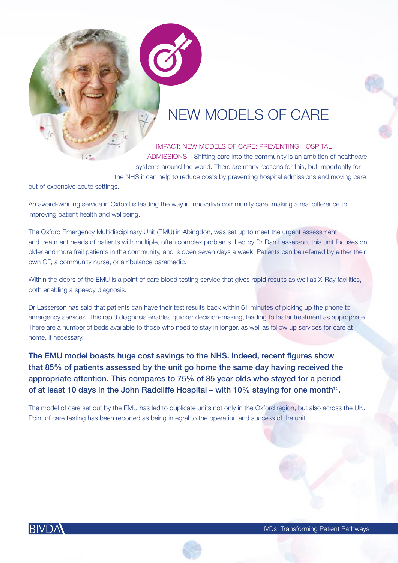## NEW MODELS OF CARE

IMPACT: NEW MODELS OF CARE: PREVENTING HOSPITAL ADMISSIONS – Shifting care into the community is an ambition of healthcare systems around the world. There are many reasons for this, but importantly for the NHS it can help to reduce costs by preventing hospital admissions and moving care

out of expensive acute settings.

An award-winning service in Oxford is leading the way in innovative community care, making a real difference to improving patient health and wellbeing.

The Oxford Emergency Multidisciplinary Unit (EMU) in Abingdon, was set up to meet the urgent assessment and treatment needs of patients with multiple, often complex problems. Led by Dr Dan Lasserson, this unit focuses on older and more frail patients in the community, and is open seven days a week. Patients can be referred by either their own GP, a community nurse, or ambulance paramedic.

Within the doors of the EMU is a point of care blood testing service that gives rapid results as well as X-Ray facilities, both enabling a speedy diagnosis.

Dr Lasserson has said that patients can have their test results back within 61 minutes of picking up the phone to emergency services. This rapid diagnosis enables quicker decision-making, leading to faster treatment as appropriate. There are a number of beds available to those who need to stay in longer, as well as follow up services for care at home, if necessary.

The EMU model boasts huge cost savings to the NHS. Indeed, recent figures show that 85% of patients assessed by the unit go home the same day having received the appropriate attention. This compares to 75% of 85 year olds who stayed for a period of at least 10 days in the John Radcliffe Hospital – with 10% staying for one month<sup>15</sup>.

The model of care set out by the EMU has led to duplicate units not only in the Oxford region, but also across the UK. Point of care testing has been reported as being integral to the operation and success of the unit.



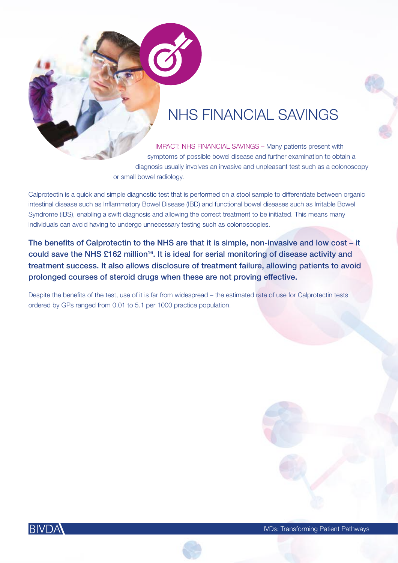## NHS FINANCIAL SAVINGS

IMPACT: NHS FINANCIAL SAVINGS – Many patients present with symptoms of possible bowel disease and further examination to obtain a diagnosis usually involves an invasive and unpleasant test such as a colonoscopy or small bowel radiology.

Calprotectin is a quick and simple diagnostic test that is performed on a stool sample to differentiate between organic intestinal disease such as Inflammatory Bowel Disease (IBD) and functional bowel diseases such as Irritable Bowel Syndrome (IBS), enabling a swift diagnosis and allowing the correct treatment to be initiated. This means many individuals can avoid having to undergo unnecessary testing such as colonoscopies.

The benefits of Calprotectin to the NHS are that it is simple, non-invasive and low cost – it could save the NHS £162 million<sup>16</sup>. It is ideal for serial monitoring of disease activity and treatment success. It also allows disclosure of treatment failure, allowing patients to avoid prolonged courses of steroid drugs when these are not proving effective.

Despite the benefits of the test, use of it is far from widespread – the estimated rate of use for Calprotectin tests ordered by GPs ranged from 0.01 to 5.1 per 1000 practice population.



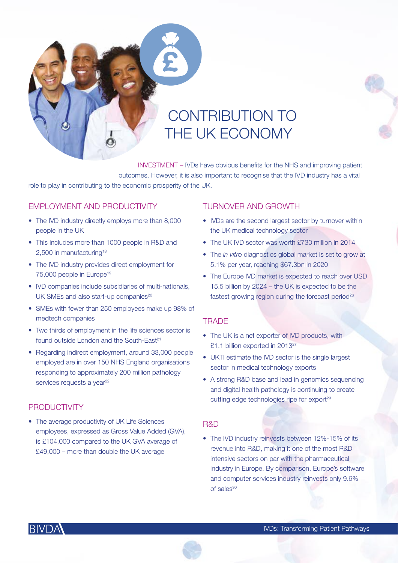

 INVESTMENT – IVDs have obvious benefits for the NHS and improving patient outcomes. However, it is also important to recognise that the IVD industry has a vital role to play in contributing to the economic prosperity of the UK.

### EMPLOYMENT AND PRODUCTIVITY

- The IVD industry directly employs more than 8,000 people in the UK
- This includes more than 1000 people in R&D and 2,500 in manufacturing<sup>18</sup>
- The IVD industry provides direct employment for 75,000 people in Europe19
- IVD companies include subsidiaries of multi-nationals, UK SMEs and also start-up companies<sup>20</sup>
- SMEs with fewer than 250 employees make up 98% of medtech companies
- Two thirds of employment in the life sciences sector is found outside London and the South-East<sup>21</sup>
- Regarding indirect employment, around 33,000 people employed are in over 150 NHS England organisations responding to approximately 200 million pathology services requests a year<sup>22</sup>

### PRODUCTIVITY

• The average productivity of UK Life Sciences employees, expressed as Gross Value Added (GVA), is £104,000 compared to the UK GVA average of £49,000 – more than double the UK average

#### TURNOVER AND GROWTH

- IVDs are the second largest sector by turnover within the UK medical technology sector
- The UK IVD sector was worth £730 million in 2014
- The *in vitro* diagnostics global market is set to grow at 5.1% per year, reaching \$67.3bn in 2020
- The Europe IVD market is expected to reach over USD 15.5 billion by 2024 – the UK is expected to be the fastest growing region during the forecast period $26$

### **TRADE**

- The UK is a net exporter of IVD products, with £1.1 billion exported in 201327
- UKTI estimate the IVD sector is the single largest sector in medical technology exports
- A strong R&D base and lead in genomics sequencing and digital health pathology is continuing to create cutting edge technologies ripe for export<sup>29</sup>

#### R&D

• The IVD industry reinvests between 12%-15% of its revenue into R&D, making it one of the most R&D intensive sectors on par with the pharmaceutical industry in Europe. By comparison, Europe's software and computer services industry reinvests only 9.6% of sales30



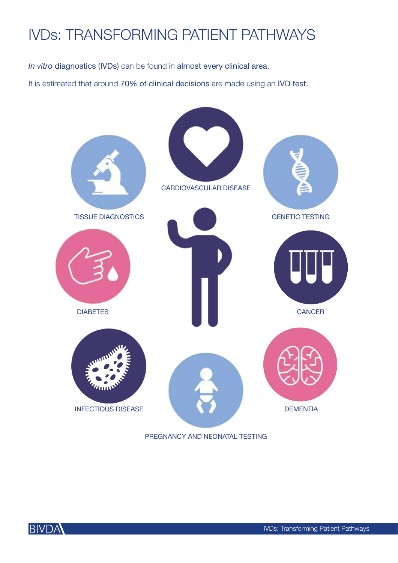# IVDs: TRANSFORMING PATIENT PATHWAYS

*In vitro* diagnostics (IVDs) can be found in almost every clinical area.

It is estimated that around 70% of clinical decisions are made using an IVD test.



PREGNANCY AND NEONATAL TESTING

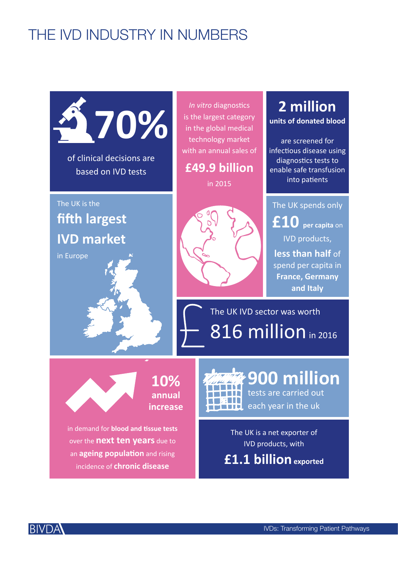# THE IVD INDUSTRY IN NUMBERS